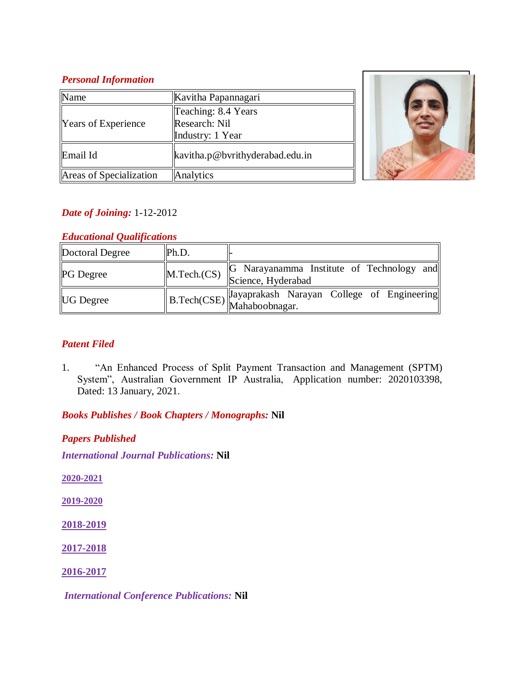## *Personal Information*

| √ame                    | Kavitha Papannagari             |  |
|-------------------------|---------------------------------|--|
| Years of Experience     | Teaching: 8.4 Years             |  |
|                         | Research: Nil                   |  |
|                         | Industry: 1 Year                |  |
| Email Id                | kavitha.p@bvrithyderabad.edu.in |  |
| Areas of Specialization | Analytics                       |  |



# *Date of Joining:* 1-12-2012

# *Educational Qualifications*

| Doctoral Degree  | Ph.D. |                                                                                          |
|------------------|-------|------------------------------------------------------------------------------------------|
| <b>PG</b> Degree |       | <b>G</b> Narayanamma Institute of Technology and<br>M.Tech.(CS) Science, Hyderabad       |
| <b>UG</b> Degree |       | $\left\  B.\text{Techn}(\text{CSE}) \right\ $ Jayaprakash Narayan College of Engineering |

# *Patent Filed*

1. "An Enhanced Process of Split Payment Transaction and Management (SPTM) System", Australian Government IP Australia, Application number: 2020103398, Dated: 13 January, 2021.

*Books Publishes / Book Chapters / Monographs:* **Nil**

*Papers Published International Journal Publications:* **Nil**

**2020-2021**

**2019-2020**

**2018-2019**

**2017-2018**

**2016-2017**

*International Conference Publications:* **Nil**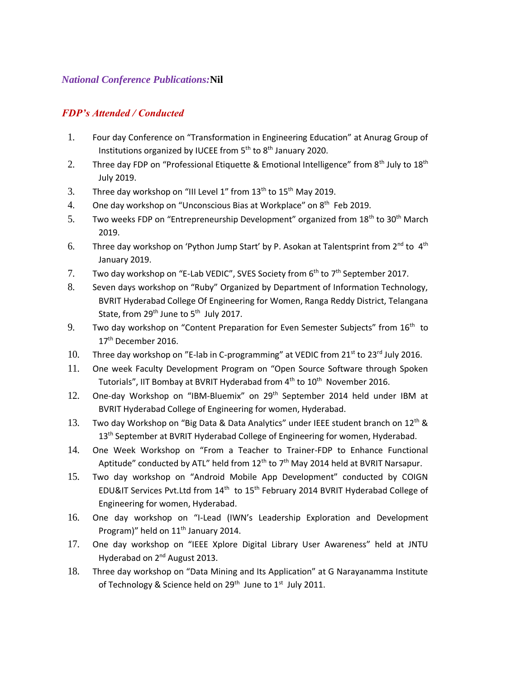#### *National Conference Publications:***Nil**

## *FDP's Attended / Conducted*

- 1. Four day Conference on "Transformation in Engineering Education" at Anurag Group of Institutions organized by IUCEE from 5<sup>th</sup> to 8<sup>th</sup> January 2020.
- 2. Three day FDP on "Professional Etiquette & Emotional Intelligence" from  $8<sup>th</sup>$  July to  $18<sup>th</sup>$ July 2019.
- 3. Three day workshop on "III Level 1" from  $13<sup>th</sup>$  to  $15<sup>th</sup>$  May 2019.
- 4. One day workshop on "Unconscious Bias at Workplace" on 8<sup>th</sup> Feb 2019.
- 5. Two weeks FDP on "Entrepreneurship Development" organized from 18th to 30th March 2019.
- 6. Three day workshop on 'Python Jump Start' by P. Asokan at Talentsprint from 2<sup>nd</sup> to 4<sup>th</sup> January 2019.
- 7. Two day workshop on "E-Lab VEDIC", SVES Society from 6<sup>th</sup> to 7<sup>th</sup> September 2017.
- 8. Seven days workshop on "Ruby" Organized by Department of Information Technology, BVRIT Hyderabad College Of Engineering for Women, Ranga Reddy District, Telangana State, from 29<sup>th</sup> June to 5<sup>th</sup> July 2017.
- 9. Two day workshop on "Content Preparation for Even Semester Subjects" from  $16<sup>th</sup>$  to 17<sup>th</sup> December 2016.
- 10. Three day workshop on "E-lab in C-programming" at VEDIC from  $21^{st}$  to  $23^{rd}$  July 2016.
- 11. One week Faculty Development Program on "Open Source Software through Spoken Tutorials", IIT Bombay at BVRIT Hyderabad from 4<sup>th</sup> to 10<sup>th</sup> November 2016.
- 12. One-day Workshop on "IBM-Bluemix" on 29<sup>th</sup> September 2014 held under IBM at BVRIT Hyderabad College of Engineering for women, Hyderabad.
- 13. Two day Workshop on "Big Data & Data Analytics" under IEEE student branch on 12th & 13<sup>th</sup> September at BVRIT Hyderabad College of Engineering for women, Hyderabad.
- 14. One Week Workshop on "From a Teacher to Trainer-FDP to Enhance Functional Aptitude" conducted by ATL" held from  $12<sup>th</sup>$  to 7<sup>th</sup> May 2014 held at BVRIT Narsapur.
- 15. Two day workshop on "Android Mobile App Development" conducted by COIGN EDU&IT Services Pvt.Ltd from 14<sup>th</sup> to 15<sup>th</sup> February 2014 BVRIT Hyderabad College of Engineering for women, Hyderabad.
- 16. One day workshop on "I-Lead (IWN's Leadership Exploration and Development Program)" held on  $11<sup>th</sup>$  January 2014.
- 17. One day workshop on "IEEE Xplore Digital Library User Awareness" held at JNTU Hyderabad on 2nd August 2013.
- 18. Three day workshop on "Data Mining and Its Application" at G Narayanamma Institute of Technology & Science held on  $29^{th}$  June to  $1^{st}$  July 2011.